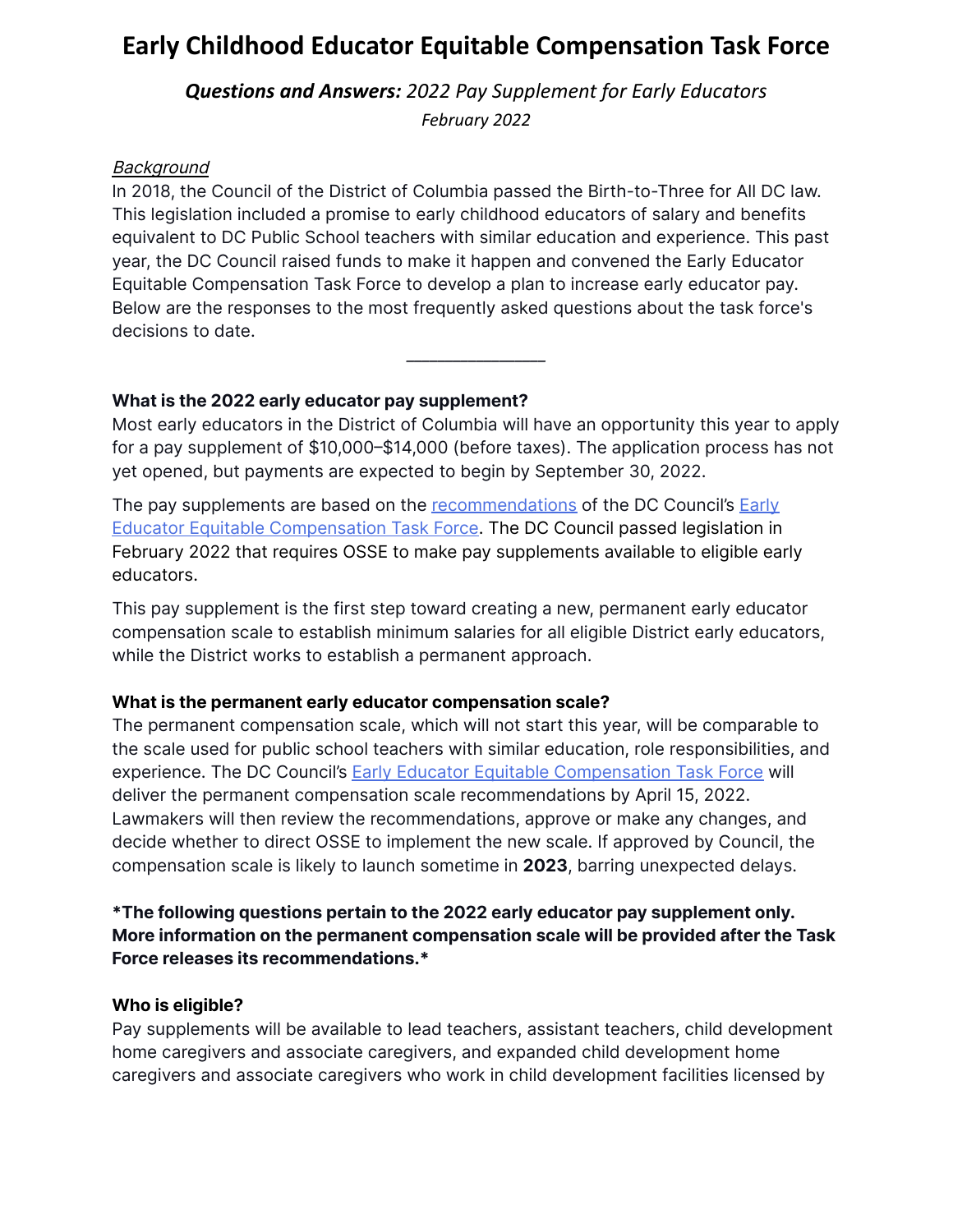# **Early Childhood Educator Equitable Compensation Task Force**

*Questions and Answers: 2022 Pay Supplement for Early Educators February 2022*

### **Background**

In 2018, the Council of the District of Columbia passed the Birth-to-Three for All DC law. This legislation included a promise to early childhood educators of salary and benefits equivalent to DC Public School teachers with similar education and experience. This past year, the DC Council raised funds to make it happen and convened the Early Educator Equitable Compensation Task Force to develop a plan to increase early educator pay. Below are the responses to the most frequently asked questions about the task force's decisions to date.

# **What is the 2022 early educator pay supplement?**

Most early educators in the District of Columbia will have an opportunity this year to apply for a pay supplement of \$10,000–\$14,000 (before taxes). The application process has not yet opened, but payments are expected to begin by September 30, 2022.

\_\_\_\_\_\_\_\_\_\_\_\_\_\_\_\_\_\_

The pay supplements are based on the [recommendations](https://lims.dccouncil.us/Legislation/RC24-0115) of the DC Council's **[Early](https://chairmanmendelson.com/ece/#:~:text=Provides%20recommendations%20for%20implementing%20the,which%20at%20a%20minimum%20considers%3A&text=Long%20term%20implications%20of%20the,implement%20the%20pay%20scale%3B%20and)** Educator Equitable [Compensation](https://chairmanmendelson.com/ece/#:~:text=Provides%20recommendations%20for%20implementing%20the,which%20at%20a%20minimum%20considers%3A&text=Long%20term%20implications%20of%20the,implement%20the%20pay%20scale%3B%20and) Task Force. The DC Council passed legislation in February 2022 that requires OSSE to make pay supplements available to eligible early educators.

This pay supplement is the first step toward creating a new, permanent early educator compensation scale to establish minimum salaries for all eligible District early educators, while the District works to establish a permanent approach.

#### **What is the permanent early educator compensation scale?**

The permanent compensation scale, which will not start this year, will be comparable to the scale used for public school teachers with similar education, role responsibilities, and experience. The DC Council's **Early Educator Equitable [Compensation](https://chairmanmendelson.com/ece/#:~:text=Provides%20recommendations%20for%20implementing%20the,which%20at%20a%20minimum%20considers%3A&text=Long%20term%20implications%20of%20the,implement%20the%20pay%20scale%3B%20and) Task Force will** deliver the permanent compensation scale recommendations by April 15, 2022. Lawmakers will then review the recommendations, approve or make any changes, and decide whether to direct OSSE to implement the new scale. If approved by Council, the compensation scale is likely to launch sometime in **2023**, barring unexpected delays.

# **\*The following questions pertain to the 2022 early educator pay supplement only. More information on the permanent compensation scale will be provided after the Task Force releases its recommendations.\***

#### **Who is eligible?**

Pay supplements will be available to lead teachers, assistant teachers, child development home caregivers and associate caregivers, and expanded child development home caregivers and associate caregivers who work in child development facilities licensed by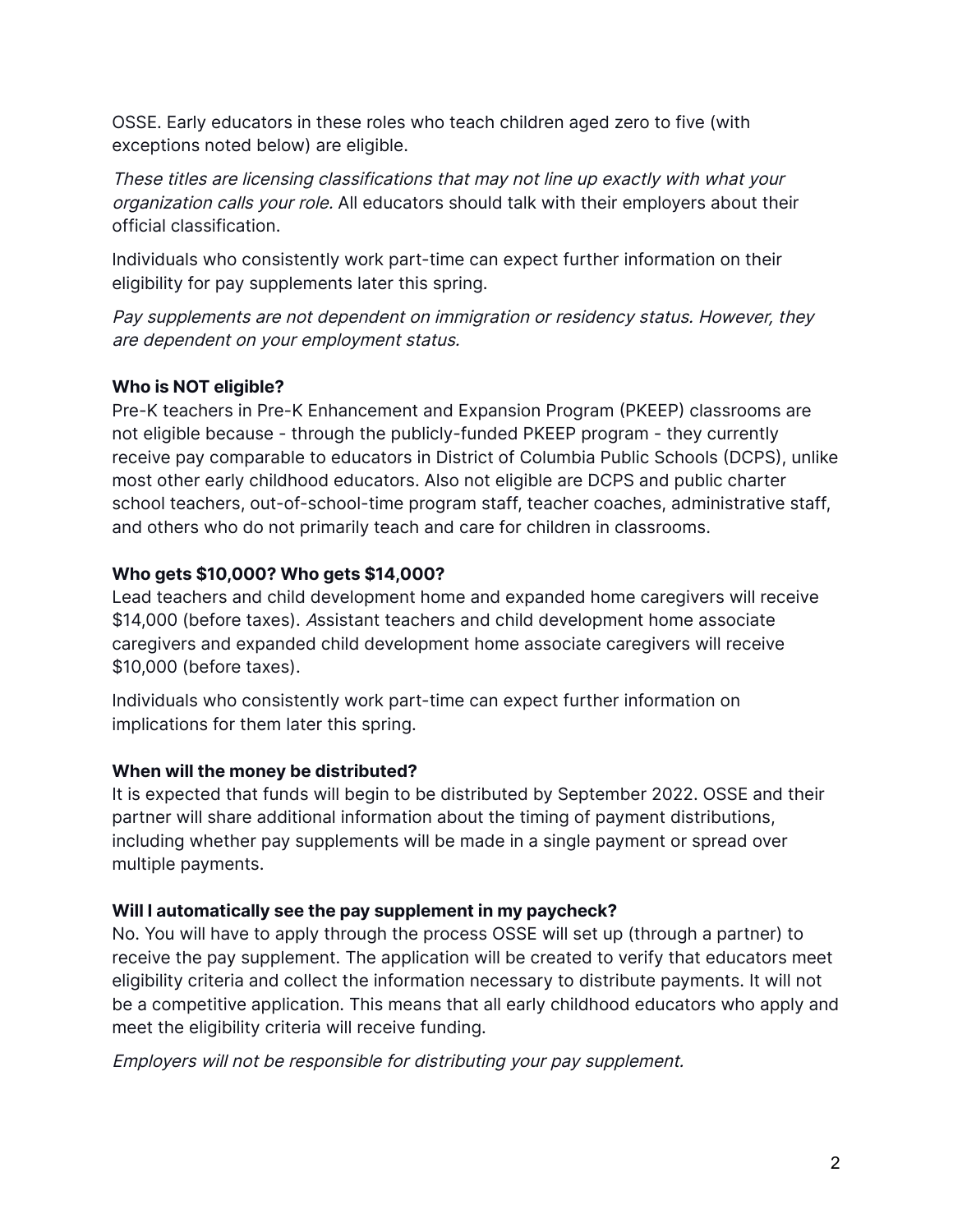OSSE. Early educators in these roles who teach children aged zero to five (with exceptions noted below) are eligible.

These titles are licensing classifications that may not line up exactly with what your organization calls your role. All educators should talk with their employers about their official classification.

Individuals who consistently work part-time can expect further information on their eligibility for pay supplements later this spring.

Pay supplements are not dependent on immigration or residency status. However, they are dependent on your employment status.

# **Who is NOT eligible?**

Pre-K teachers in Pre-K Enhancement and Expansion Program (PKEEP) classrooms are not eligible because - through the publicly-funded PKEEP program - they currently receive pay comparable to educators in District of Columbia Public Schools (DCPS), unlike most other early childhood educators. Also not eligible are DCPS and public charter school teachers, out-of-school-time program staff, teacher coaches, administrative staff, and others who do not primarily teach and care for children in classrooms.

# **Who gets \$10,000? Who gets \$14,000?**

Lead teachers and child development home and expanded home caregivers will receive \$14,000 (before taxes). Assistant teachers and child development home associate caregivers and expanded child development home associate caregivers will receive \$10,000 (before taxes).

Individuals who consistently work part-time can expect further information on implications for them later this spring.

# **When will the money be distributed?**

It is expected that funds will begin to be distributed by September 2022. OSSE and their partner will share additional information about the timing of payment distributions, including whether pay supplements will be made in a single payment or spread over multiple payments.

# **Will I automatically see the pay supplement in my paycheck?**

No. You will have to apply through the process OSSE will set up (through a partner) to receive the pay supplement. The application will be created to verify that educators meet eligibility criteria and collect the information necessary to distribute payments. It will not be a competitive application. This means that all early childhood educators who apply and meet the eligibility criteria will receive funding.

Employers will not be responsible for distributing your pay supplement.